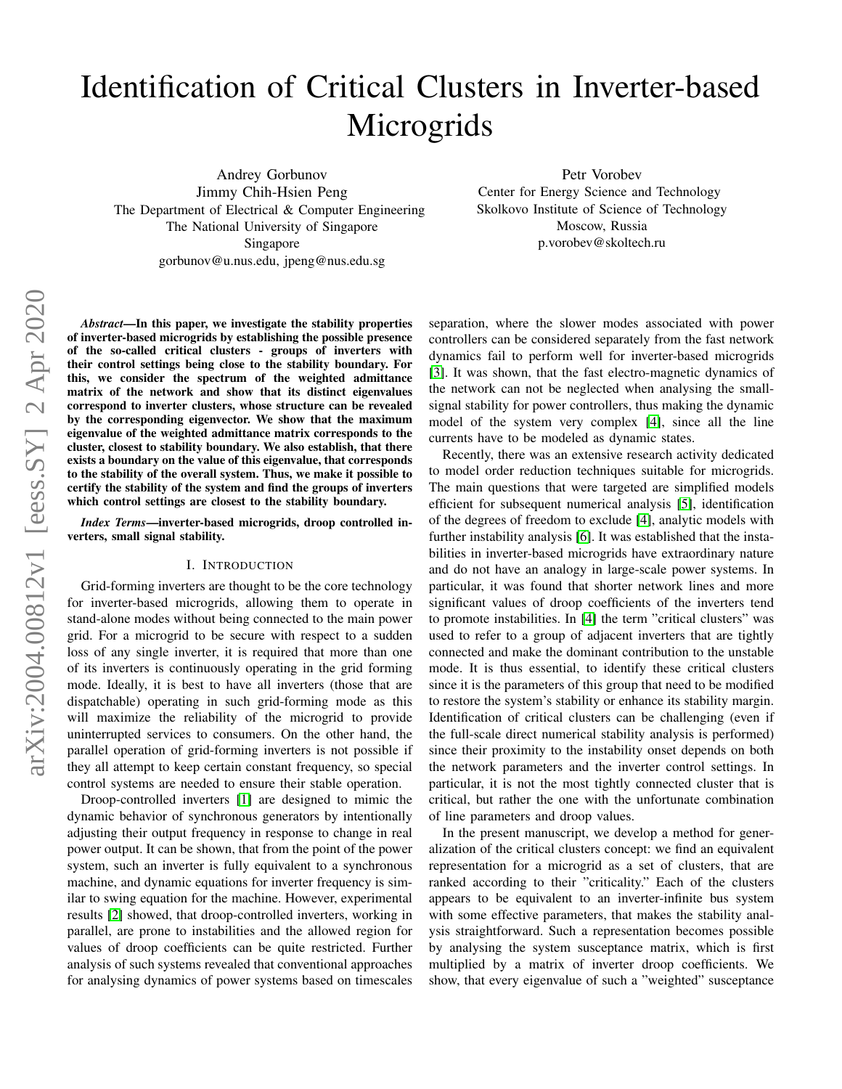# Identification of Critical Clusters in Inverter-based **Microgrids**

Andrey Gorbunov Jimmy Chih-Hsien Peng The Department of Electrical & Computer Engineering The National University of Singapore Singapore gorbunov@u.nus.edu, jpeng@nus.edu.sg

Petr Vorobev Center for Energy Science and Technology Skolkovo Institute of Science of Technology Moscow, Russia p.vorobev@skoltech.ru

arXiv:2004.00812v1 [eess.SY] 2 Apr 2020 arXiv:2004.00812v1 [eess.SY] 2 Apr 2020

*Abstract*—In this paper, we investigate the stability properties of inverter-based microgrids by establishing the possible presence of the so-called critical clusters - groups of inverters with their control settings being close to the stability boundary. For this, we consider the spectrum of the weighted admittance matrix of the network and show that its distinct eigenvalues correspond to inverter clusters, whose structure can be revealed by the corresponding eigenvector. We show that the maximum eigenvalue of the weighted admittance matrix corresponds to the cluster, closest to stability boundary. We also establish, that there exists a boundary on the value of this eigenvalue, that corresponds to the stability of the overall system. Thus, we make it possible to certify the stability of the system and find the groups of inverters which control settings are closest to the stability boundary.

*Index Terms*—inverter-based microgrids, droop controlled inverters, small signal stability.

#### I. INTRODUCTION

Grid-forming inverters are thought to be the core technology for inverter-based microgrids, allowing them to operate in stand-alone modes without being connected to the main power grid. For a microgrid to be secure with respect to a sudden loss of any single inverter, it is required that more than one of its inverters is continuously operating in the grid forming mode. Ideally, it is best to have all inverters (those that are dispatchable) operating in such grid-forming mode as this will maximize the reliability of the microgrid to provide uninterrupted services to consumers. On the other hand, the parallel operation of grid-forming inverters is not possible if they all attempt to keep certain constant frequency, so special control systems are needed to ensure their stable operation.

Droop-controlled inverters [\[1\]](#page-6-0) are designed to mimic the dynamic behavior of synchronous generators by intentionally adjusting their output frequency in response to change in real power output. It can be shown, that from the point of the power system, such an inverter is fully equivalent to a synchronous machine, and dynamic equations for inverter frequency is similar to swing equation for the machine. However, experimental results [\[2\]](#page-6-1) showed, that droop-controlled inverters, working in parallel, are prone to instabilities and the allowed region for values of droop coefficients can be quite restricted. Further analysis of such systems revealed that conventional approaches for analysing dynamics of power systems based on timescales separation, where the slower modes associated with power controllers can be considered separately from the fast network dynamics fail to perform well for inverter-based microgrids [\[3\]](#page-6-2). It was shown, that the fast electro-magnetic dynamics of the network can not be neglected when analysing the smallsignal stability for power controllers, thus making the dynamic model of the system very complex [\[4\]](#page-6-3), since all the line currents have to be modeled as dynamic states.

Recently, there was an extensive research activity dedicated to model order reduction techniques suitable for microgrids. The main questions that were targeted are simplified models efficient for subsequent numerical analysis [\[5\]](#page-6-4), identification of the degrees of freedom to exclude [\[4\]](#page-6-3), analytic models with further instability analysis [\[6\]](#page-6-5). It was established that the instabilities in inverter-based microgrids have extraordinary nature and do not have an analogy in large-scale power systems. In particular, it was found that shorter network lines and more significant values of droop coefficients of the inverters tend to promote instabilities. In [\[4\]](#page-6-3) the term "critical clusters" was used to refer to a group of adjacent inverters that are tightly connected and make the dominant contribution to the unstable mode. It is thus essential, to identify these critical clusters since it is the parameters of this group that need to be modified to restore the system's stability or enhance its stability margin. Identification of critical clusters can be challenging (even if the full-scale direct numerical stability analysis is performed) since their proximity to the instability onset depends on both the network parameters and the inverter control settings. In particular, it is not the most tightly connected cluster that is critical, but rather the one with the unfortunate combination of line parameters and droop values.

In the present manuscript, we develop a method for generalization of the critical clusters concept: we find an equivalent representation for a microgrid as a set of clusters, that are ranked according to their "criticality." Each of the clusters appears to be equivalent to an inverter-infinite bus system with some effective parameters, that makes the stability analysis straightforward. Such a representation becomes possible by analysing the system susceptance matrix, which is first multiplied by a matrix of inverter droop coefficients. We show, that every eigenvalue of such a "weighted" susceptance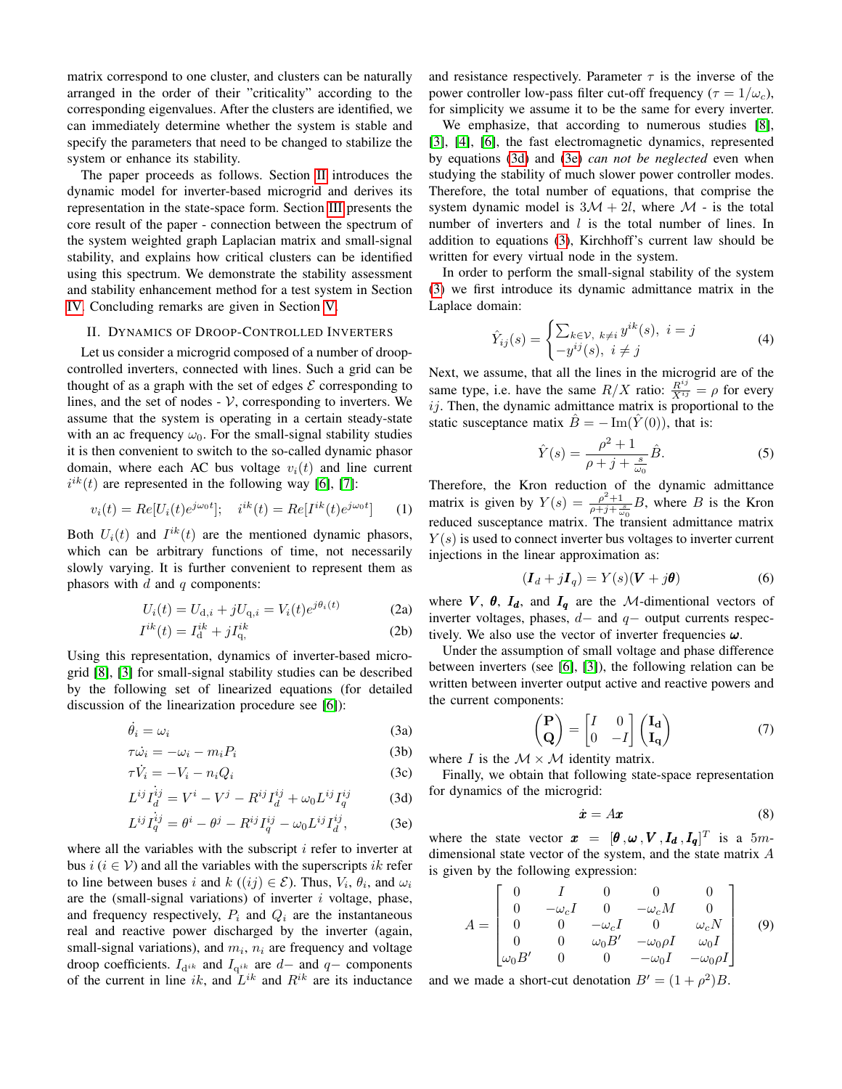matrix correspond to one cluster, and clusters can be naturally arranged in the order of their "criticality" according to the corresponding eigenvalues. After the clusters are identified, we can immediately determine whether the system is stable and specify the parameters that need to be changed to stabilize the system or enhance its stability.

The paper proceeds as follows. Section [II](#page-1-0) introduces the dynamic model for inverter-based microgrid and derives its representation in the state-space form. Section [III](#page-2-0) presents the core result of the paper - connection between the spectrum of the system weighted graph Laplacian matrix and small-signal stability, and explains how critical clusters can be identified using this spectrum. We demonstrate the stability assessment and stability enhancement method for a test system in Section [IV.](#page-4-0) Concluding remarks are given in Section [V.](#page-5-0)

### <span id="page-1-0"></span>II. DYNAMICS OF DROOP-CONTROLLED INVERTERS

Let us consider a microgrid composed of a number of droopcontrolled inverters, connected with lines. Such a grid can be thought of as a graph with the set of edges  $\mathcal E$  corresponding to lines, and the set of nodes  $-V$ , corresponding to inverters. We assume that the system is operating in a certain steady-state with an ac frequency  $\omega_0$ . For the small-signal stability studies it is then convenient to switch to the so-called dynamic phasor domain, where each AC bus voltage  $v_i(t)$  and line current  $i^{ik}(t)$  are represented in the following way [\[6\]](#page-6-5), [\[7\]](#page-6-6):

$$
v_i(t) = Re[U_i(t)e^{j\omega_0 t}]; \quad i^{ik}(t) = Re[I^{ik}(t)e^{j\omega_0 t}] \tag{1}
$$

Both  $U_i(t)$  and  $I^{ik}(t)$  are the mentioned dynamic phasors, which can be arbitrary functions of time, not necessarily slowly varying. It is further convenient to represent them as phasors with  $d$  and  $q$  components:

$$
U_i(t) = U_{d,i} + jU_{q,i} = V_i(t)e^{j\theta_i(t)}
$$
 (2a)

$$
I^{ik}(t) = I_{\mathrm{d}}^{ik} + jI_{\mathrm{q}}^{ik} \tag{2b}
$$

Using this representation, dynamics of inverter-based microgrid [\[8\]](#page-6-7), [\[3\]](#page-6-2) for small-signal stability studies can be described by the following set of linearized equations (for detailed discussion of the linearization procedure see [\[6\]](#page-6-5)):

$$
\dot{\theta}_i = \omega_i \tag{3a}
$$

$$
\tau \dot{\omega_i} = -\omega_i - m_i P_i \tag{3b}
$$

$$
\tau \dot{V}_i = -V_i - n_i Q_i \tag{3c}
$$

$$
L^{ij}\dot{I}_{d}^{ij} = V^i - V^j - R^{ij}I_{d}^{ij} + \omega_0 L^{ij}I_{q}^{ij}
$$
 (3d)

$$
L^{ij}\dot{I}_q^{ij} = \theta^i - \theta^j - R^{ij}I_q^{ij} - \omega_0 L^{ij}I_d^{ij},\tag{3e}
$$

where all the variables with the subscript  $i$  refer to inverter at bus  $i$  ( $i \in V$ ) and all the variables with the superscripts ik refer to line between buses i and  $k((ij) \in \mathcal{E})$ . Thus,  $V_i$ ,  $\theta_i$ , and  $\omega_i$ are the (small-signal variations) of inverter  $i$  voltage, phase, and frequency respectively,  $P_i$  and  $Q_i$  are the instantaneous real and reactive power discharged by the inverter (again, small-signal variations), and  $m_i$ ,  $n_i$  are frequency and voltage droop coefficients.  $I_{d^{ik}}$  and  $I_{q^{ik}}$  are  $d-$  and  $q-$  components of the current in line ik, and  $\mathcal{L}^{ik}$  and  $\mathcal{R}^{ik}$  are its inductance

and resistance respectively. Parameter  $\tau$  is the inverse of the power controller low-pass filter cut-off frequency ( $\tau = 1/\omega_c$ ), for simplicity we assume it to be the same for every inverter.

We emphasize, that according to numerous studies [\[8\]](#page-6-7), [\[3\]](#page-6-2), [\[4\]](#page-6-3), [\[6\]](#page-6-5), the fast electromagnetic dynamics, represented by equations [\(3d\)](#page-1-1) and [\(3e\)](#page-1-2) *can not be neglected* even when studying the stability of much slower power controller modes. Therefore, the total number of equations, that comprise the system dynamic model is  $3\mathcal{M} + 2l$ , where  $\mathcal{M}$  - is the total number of inverters and  $l$  is the total number of lines. In addition to equations [\(3\)](#page-1-3), Kirchhoff's current law should be written for every virtual node in the system.

In order to perform the small-signal stability of the system [\(3\)](#page-1-3) we first introduce its dynamic admittance matrix in the Laplace domain:

$$
\hat{Y}_{ij}(s) = \begin{cases}\n\sum_{k \in \mathcal{V}, \ k \neq i} y^{ik}(s), \ i = j \\
-y^{ij}(s), \ i \neq j\n\end{cases}
$$
\n(4)

Next, we assume, that all the lines in the microgrid are of the same type, i.e. have the same  $R/X$  ratio:  $\frac{R^{ij}}{X^{ij}} = \rho$  for every  $ij$ . Then, the dynamic admittance matrix is proportional to the static susceptance matix  $\hat{B} = -\operatorname{Im}(\hat{Y}(0))$ , that is:

$$
\hat{Y}(s) = \frac{\rho^2 + 1}{\rho + j + \frac{s}{\omega_0}} \hat{B}.\tag{5}
$$

Therefore, the Kron reduction of the dynamic admittance matrix is given by  $Y(s) = \frac{\rho^2 + 1}{\rho + j + \frac{s}{\omega_0}} B$ , where B is the Kron reduced susceptance matrix. The transient admittance matrix  $Y(s)$  is used to connect inverter bus voltages to inverter current injections in the linear approximation as:

$$
(\boldsymbol{I}_d + j\boldsymbol{I}_q) = Y(s)(\boldsymbol{V} + j\boldsymbol{\theta}) \tag{6}
$$

where  $V$ ,  $\theta$ ,  $I_d$ , and  $I_q$  are the M-dimentional vectors of inverter voltages, phases,  $d-$  and  $q-$  output currents respectively. We also use the vector of inverter frequencies  $\omega$ .

<span id="page-1-3"></span>Under the assumption of small voltage and phase difference between inverters (see [\[6\]](#page-6-5), [\[3\]](#page-6-2)), the following relation can be written between inverter output active and reactive powers and the current components:

$$
\begin{pmatrix} \mathbf{P} \\ \mathbf{Q} \end{pmatrix} = \begin{bmatrix} I & 0 \\ 0 & -I \end{bmatrix} \begin{pmatrix} \mathbf{I_d} \\ \mathbf{I_q} \end{pmatrix} \tag{7}
$$

where I is the  $M \times M$  identity matrix.

<span id="page-1-1"></span>Finally, we obtain that following state-space representation for dynamics of the microgrid:

<span id="page-1-4"></span>
$$
\dot{\boldsymbol{x}} = A\boldsymbol{x} \tag{8}
$$

<span id="page-1-2"></span>where the state vector  $\mathbf{x} = [\theta, \omega, V, I_d, I_q]^T$  is a 5mdimensional state vector of the system, and the state matrix A is given by the following expression:

$$
A = \begin{bmatrix} 0 & I & 0 & 0 & 0 \\ 0 & -\omega_c I & 0 & -\omega_c M & 0 \\ 0 & 0 & -\omega_c I & 0 & \omega_c N \\ 0 & 0 & \omega_0 B' & -\omega_0 \rho I & \omega_0 I \\ \omega_0 B' & 0 & 0 & -\omega_0 I & -\omega_0 \rho I \end{bmatrix}
$$
(9)

and we made a short-cut denotation  $B' = (1 + \rho^2)B$ .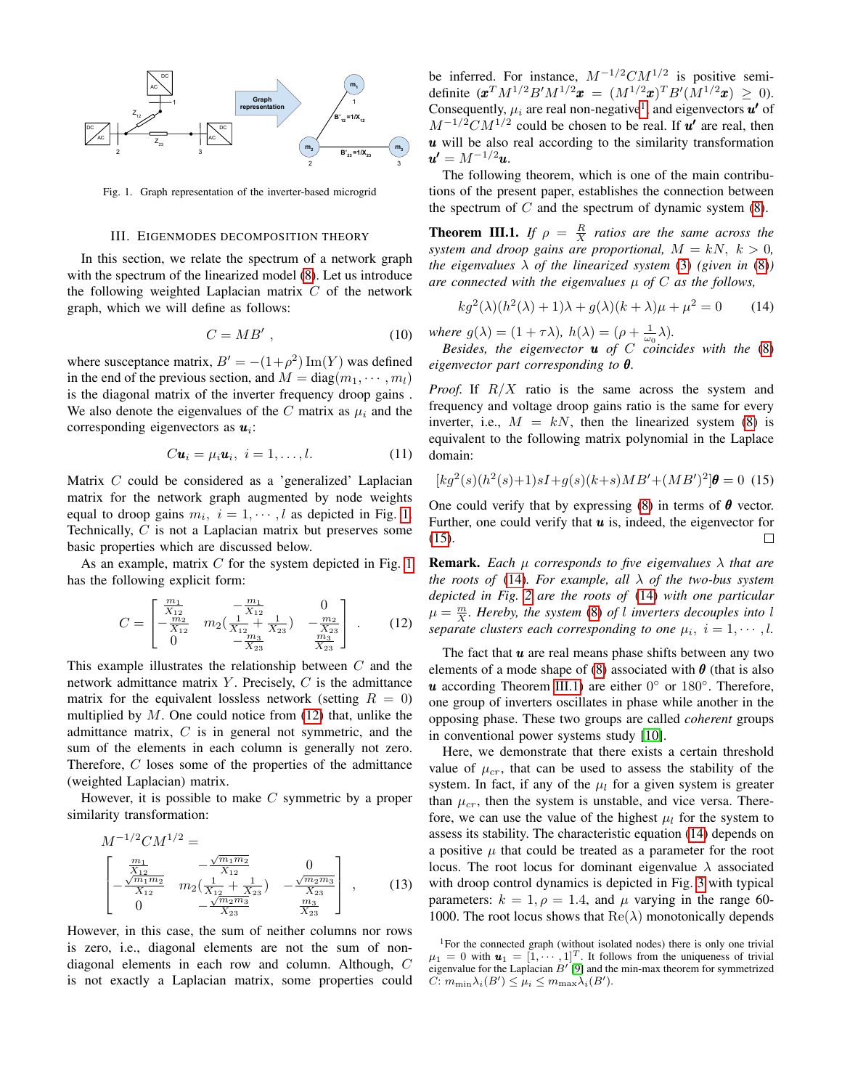

<span id="page-2-1"></span>Fig. 1. Graph representation of the inverter-based microgrid

#### III. EIGENMODES DECOMPOSITION THEORY

<span id="page-2-0"></span>In this section, we relate the spectrum of a network graph with the spectrum of the linearized model [\(8\)](#page-1-4). Let us introduce the following weighted Laplacian matrix  $C$  of the network graph, which we will define as follows:

$$
C = MB'
$$
, (10)

where susceptance matrix,  $B' = -(1+\rho^2) \operatorname{Im}(Y)$  was defined in the end of the previous section, and  $M = diag(m_1, \dots, m_l)$ is the diagonal matrix of the inverter frequency droop gains . We also denote the eigenvalues of the C matrix as  $\mu_i$  and the corresponding eigenvectors as  $u_i$ :

$$
C\mathbf{u}_i = \mu_i \mathbf{u}_i, \quad i = 1, \dots, l. \tag{11}
$$

Matrix C could be considered as a 'generalized' Laplacian matrix for the network graph augmented by node weights equal to droop gains  $m_i$ ,  $i = 1, \dots, l$  as depicted in Fig. [1.](#page-2-1) Technically, C is not a Laplacian matrix but preserves some basic properties which are discussed below.

As an example, matrix  $C$  for the system depicted in Fig. [1](#page-2-1) has the following explicit form:

<span id="page-2-2"></span>
$$
C = \begin{bmatrix} \frac{m_1}{X_{12}} & -\frac{m_1}{X_{12}} & 0\\ -\frac{m_2}{X_{12}} & m_2(\frac{1}{X_{12}} + \frac{1}{X_{23}}) & -\frac{m_2}{X_{23}}\\ 0 & -\frac{m_3}{X_{23}} & \frac{m_3}{X_{23}} \end{bmatrix} . \tag{12}
$$

This example illustrates the relationship between  $C$  and the network admittance matrix  $Y$ . Precisely,  $C$  is the admittance matrix for the equivalent lossless network (setting  $R = 0$ ) multiplied by  $M$ . One could notice from [\(12\)](#page-2-2) that, unlike the admittance matrix,  $C$  is in general not symmetric, and the sum of the elements in each column is generally not zero. Therefore, C loses some of the properties of the admittance (weighted Laplacian) matrix.

However, it is possible to make  $C$  symmetric by a proper similarity transformation:

$$
M^{-1/2}CM^{1/2} = \n\begin{bmatrix}\n\frac{m_1}{X_{12}} & -\frac{\sqrt{m_1 m_2}}{X_{12}} & 0 \\
-\frac{\sqrt{m_1 m_2}}{X_{12}} & m_2(\frac{1}{X_{12}} + \frac{1}{X_{23}}) & -\frac{\sqrt{m_2 m_3}}{X_{23}} \\
0 & -\frac{\sqrt{m_2 m_3}}{X_{23}} & \frac{m_3}{X_{23}}\n\end{bmatrix},\n\tag{13}
$$

However, in this case, the sum of neither columns nor rows is zero, i.e., diagonal elements are not the sum of nondiagonal elements in each row and column. Although, C is not exactly a Laplacian matrix, some properties could

be inferred. For instance,  $M^{-1/2}CM^{1/2}$  is positive semidefinite  $(\mathbf{x}^T M^{1/2} B' M^{1/2} \mathbf{x} = (M^{1/2} \mathbf{x})^T B' (M^{1/2} \mathbf{x}) \geq 0)$ . Consequently,  $\mu_i$  are real non-negative<sup>[1](#page-2-3)</sup>, and eigenvectors  $\boldsymbol{u'}$  of  $M^{-1/2}CM^{1/2}$  could be chosen to be real. If  $u'$  are real, then  $u$  will be also real according to the similarity transformation  $u' = M^{-1/2}u$ .

The following theorem, which is one of the main contributions of the present paper, establishes the connection between the spectrum of  $C$  and the spectrum of dynamic system  $(8)$ .

<span id="page-2-6"></span>**Theorem III.1.** *If*  $\rho = \frac{R}{X}$  ratios are the same across the *system and droop gains are proportional,*  $M = kN, k > 0$ , *the eigenvalues*  $\lambda$  *of the linearized system* [\(3\)](#page-1-3) *(given in [\(8\)](#page-1-4)) are connected with the eigenvalues* µ *of* C *as the follows,*

<span id="page-2-5"></span>
$$
kg2(\lambda)(h2(\lambda) + 1)\lambda + g(\lambda)(k + \lambda)\mu + \mu2 = 0
$$
 (14)

*where*  $g(\lambda) = (1 + \tau \lambda)$ ,  $h(\lambda) = (\rho + \frac{1}{\omega_0} \lambda)$ .

*Besides, the eigenvector* u *of* C *coincides with the* [\(8\)](#page-1-4) *eigenvector part corresponding to* θ*.*

*Proof.* If  $R/X$  ratio is the same across the system and frequency and voltage droop gains ratio is the same for every inverter, i.e.,  $M = kN$ , then the linearized system [\(8\)](#page-1-4) is equivalent to the following matrix polynomial in the Laplace domain:

<span id="page-2-4"></span>
$$
[kg2(s)(h2(s)+1)sI+g(s)(k+s)MB'+(MB')2]\theta = 0
$$
 (15)

One could verify that by expressing [\(8\)](#page-1-4) in terms of  $\theta$  vector. Further, one could verify that  $u$  is, indeed, the eigenvector for [\(15\)](#page-2-4).  $\Box$ 

**Remark.** *Each*  $\mu$  *corresponds to five eigenvalues*  $\lambda$  *that are the roots of* [\(14\)](#page-2-5)*. For example, all* λ *of the two-bus system depicted in Fig. [2](#page-3-0) are the roots of* [\(14\)](#page-2-5) *with one particular*  $\mu = \frac{m}{X}$ . Hereby, the system [\(8\)](#page-1-4) of l inverters decouples into l *separate clusters each corresponding to one*  $\mu_i$ ,  $i = 1, \dots, l$ .

The fact that  $\boldsymbol{u}$  are real means phase shifts between any two elements of a mode shape of [\(8\)](#page-1-4) associated with  $\theta$  (that is also  $u$  according Theorem [III.1\)](#page-2-6) are either  $0^{\circ}$  or  $180^{\circ}$ . Therefore, one group of inverters oscillates in phase while another in the opposing phase. These two groups are called *coherent* groups in conventional power systems study [\[10\]](#page-6-8).

Here, we demonstrate that there exists a certain threshold value of  $\mu_{cr}$ , that can be used to assess the stability of the system. In fact, if any of the  $\mu_l$  for a given system is greater than  $\mu_{cr}$ , then the system is unstable, and vice versa. Therefore, we can use the value of the highest  $\mu_l$  for the system to assess its stability. The characteristic equation [\(14\)](#page-2-5) depends on a positive  $\mu$  that could be treated as a parameter for the root locus. The root locus for dominant eigenvalue  $\lambda$  associated with droop control dynamics is depicted in Fig. [3](#page-3-1) with typical parameters:  $k = 1, \rho = 1.4$ , and  $\mu$  varying in the range 60-1000. The root locus shows that  $\text{Re}(\lambda)$  monotonically depends

<span id="page-2-3"></span><sup>&</sup>lt;sup>1</sup>For the connected graph (without isolated nodes) there is only one trivial  $\mu_1 = 0$  with  $\mathbf{u}_1 = [1, \dots, 1]^T$ . It follows from the uniqueness of trivial eigenvalue for the Laplacian  $B'$  [\[9\]](#page-6-9) and the min-max theorem for symmetrized  $C: m_{\min} \lambda_i(B') \leq \mu_i \leq m_{\max} \lambda_i(B').$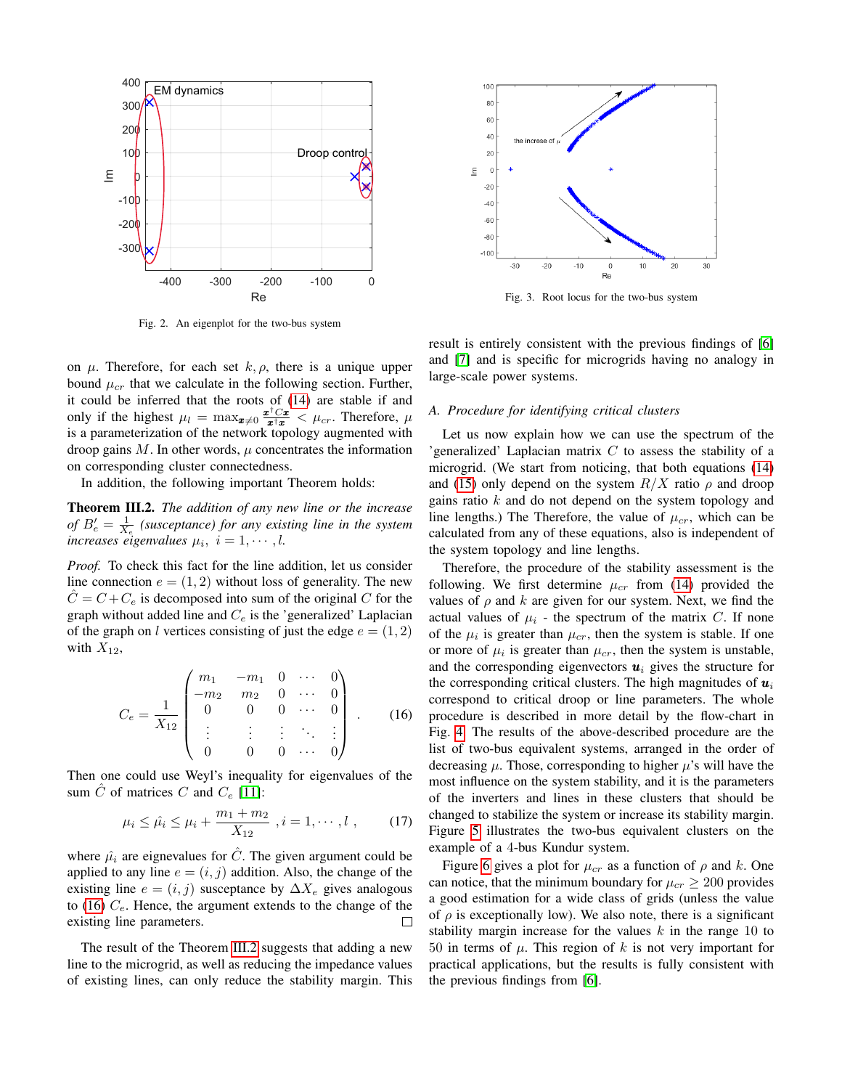

<span id="page-3-1"></span>Fig. 3. Root locus for the two-bus system

<span id="page-3-0"></span>Fig. 2. An eigenplot for the two-bus system

on  $\mu$ . Therefore, for each set  $k, \rho$ , there is a unique upper bound  $\mu_{cr}$  that we calculate in the following section. Further, it could be inferred that the roots of [\(14\)](#page-2-5) are stable if and only if the highest  $\mu_l = \max_{\mathbf{x} \neq 0} \frac{\mathbf{x}^\dagger C \mathbf{x}}{\mathbf{x}^\dagger \mathbf{x}} < \mu_{cr}$ . Therefore,  $\mu$ is a parameterization of the network topology augmented with droop gains M. In other words,  $\mu$  concentrates the information on corresponding cluster connectedness.

In addition, the following important Theorem holds:

<span id="page-3-3"></span>Theorem III.2. *The addition of any new line or the increase of*  $B'_e = \frac{1}{X_e}$  (susceptance) for any existing line in the system *increases eigenvalues*  $\mu_i$ ,  $i = 1, \dots, l$ .

*Proof.* To check this fact for the line addition, let us consider line connection  $e = (1, 2)$  without loss of generality. The new  $C = C + C_e$  is decomposed into sum of the original C for the graph without added line and  $C_e$  is the 'generalized' Laplacian of the graph on l vertices consisting of just the edge  $e = (1, 2)$ with  $X_{12}$ ,

<span id="page-3-2"></span>
$$
C_e = \frac{1}{X_{12}} \begin{pmatrix} m_1 & -m_1 & 0 & \cdots & 0 \\ -m_2 & m_2 & 0 & \cdots & 0 \\ 0 & 0 & 0 & \cdots & 0 \\ \vdots & \vdots & \vdots & \ddots & \vdots \\ 0 & 0 & 0 & \cdots & 0 \end{pmatrix} . \tag{16}
$$

Then one could use Weyl's inequality for eigenvalues of the sum  $\hat{C}$  of matrices  $C$  and  $C_e$  [\[11\]](#page-6-10):

$$
\mu_i \le \hat{\mu}_i \le \mu_i + \frac{m_1 + m_2}{X_{12}}, i = 1, \cdots, l \tag{17}
$$

where  $\hat{\mu}_i$  are eignevalues for  $\hat{C}$ . The given argument could be applied to any line  $e = (i, j)$  addition. Also, the change of the existing line  $e = (i, j)$  susceptance by  $\Delta X_e$  gives analogous to [\(16\)](#page-3-2)  $C_e$ . Hence, the argument extends to the change of the existing line parameters.  $\Box$ 

The result of the Theorem [III.2](#page-3-3) suggests that adding a new line to the microgrid, as well as reducing the impedance values of existing lines, can only reduce the stability margin. This result is entirely consistent with the previous findings of [\[6\]](#page-6-5) and [\[7\]](#page-6-6) and is specific for microgrids having no analogy in large-scale power systems.

# *A. Procedure for identifying critical clusters*

Let us now explain how we can use the spectrum of the 'generalized' Laplacian matrix  $C$  to assess the stability of a microgrid. (We start from noticing, that both equations [\(14\)](#page-2-5) and [\(15\)](#page-2-4) only depend on the system  $R/X$  ratio  $\rho$  and droop gains ratio  $k$  and do not depend on the system topology and line lengths.) The Therefore, the value of  $\mu_{cr}$ , which can be calculated from any of these equations, also is independent of the system topology and line lengths.

Therefore, the procedure of the stability assessment is the following. We first determine  $\mu_{cr}$  from [\(14\)](#page-2-5) provided the values of  $\rho$  and k are given for our system. Next, we find the actual values of  $\mu_i$  - the spectrum of the matrix C. If none of the  $\mu_i$  is greater than  $\mu_{cr}$ , then the system is stable. If one or more of  $\mu_i$  is greater than  $\mu_{cr}$ , then the system is unstable, and the corresponding eigenvectors  $u_i$  gives the structure for the corresponding critical clusters. The high magnitudes of  $u_i$ correspond to critical droop or line parameters. The whole procedure is described in more detail by the flow-chart in Fig. [4.](#page-4-1) The results of the above-described procedure are the list of two-bus equivalent systems, arranged in the order of decreasing  $\mu$ . Those, corresponding to higher  $\mu$ 's will have the most influence on the system stability, and it is the parameters of the inverters and lines in these clusters that should be changed to stabilize the system or increase its stability margin. Figure [5](#page-4-2) illustrates the two-bus equivalent clusters on the example of a 4-bus Kundur system.

Figure [6](#page-4-3) gives a plot for  $\mu_{cr}$  as a function of  $\rho$  and k. One can notice, that the minimum boundary for  $\mu_{cr} \geq 200$  provides a good estimation for a wide class of grids (unless the value of  $\rho$  is exceptionally low). We also note, there is a significant stability margin increase for the values  $k$  in the range 10 to 50 in terms of  $\mu$ . This region of k is not very important for practical applications, but the results is fully consistent with the previous findings from [\[6\]](#page-6-5).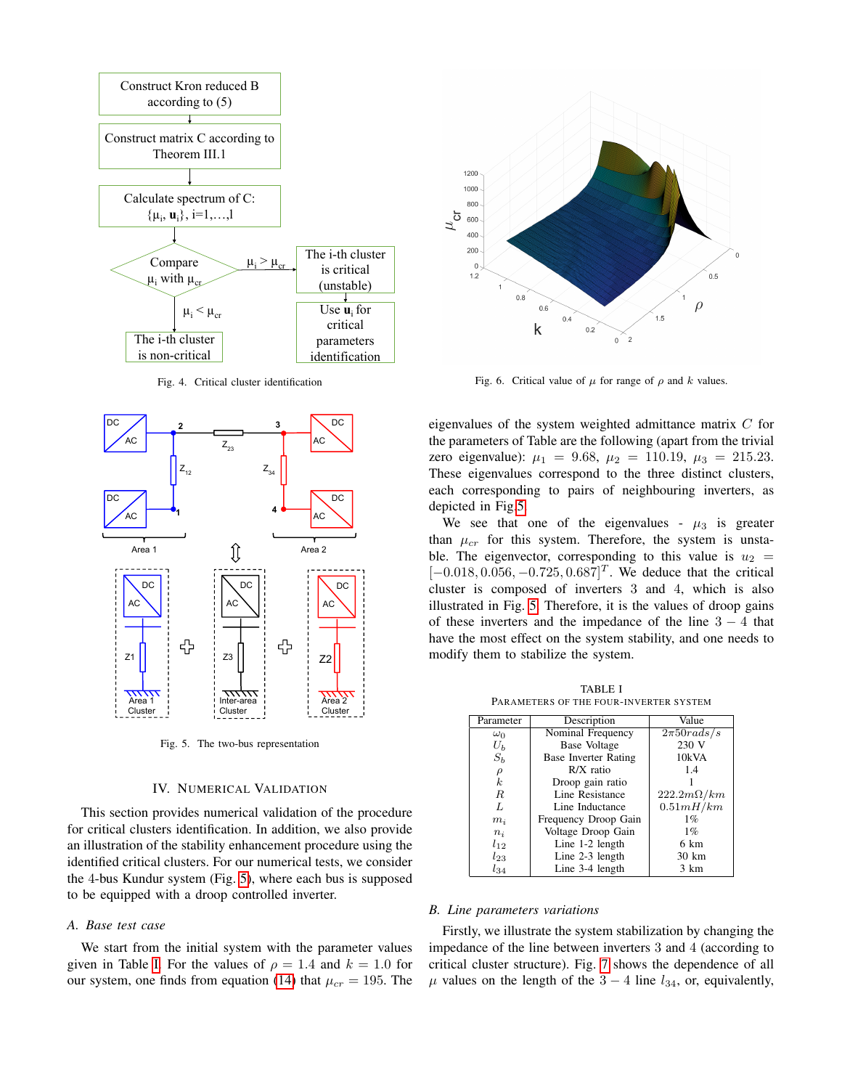

<span id="page-4-1"></span>Fig. 4. Critical cluster identification



<span id="page-4-2"></span>Fig. 5. The two-bus representation

#### IV. NUMERICAL VALIDATION

<span id="page-4-0"></span>This section provides numerical validation of the procedure for critical clusters identification. In addition, we also provide an illustration of the stability enhancement procedure using the identified critical clusters. For our numerical tests, we consider the 4-bus Kundur system (Fig. [5\)](#page-4-2), where each bus is supposed to be equipped with a droop controlled inverter.

#### *A. Base test case*

We start from the initial system with the parameter values given in Table [I.](#page-4-4) For the values of  $\rho = 1.4$  and  $k = 1.0$  for our system, one finds from equation [\(14\)](#page-2-5) that  $\mu_{cr} = 195$ . The



<span id="page-4-3"></span>Fig. 6. Critical value of  $\mu$  for range of  $\rho$  and k values.

eigenvalues of the system weighted admittance matrix  $C$  for the parameters of Table are the following (apart from the trivial zero eigenvalue):  $\mu_1 = 9.68$ ,  $\mu_2 = 110.19$ ,  $\mu_3 = 215.23$ . These eigenvalues correspond to the three distinct clusters, each corresponding to pairs of neighbouring inverters, as depicted in Fig[.5.](#page-4-2)

We see that one of the eigenvalues -  $\mu_3$  is greater than  $\mu_{cr}$  for this system. Therefore, the system is unstable. The eigenvector, corresponding to this value is  $u_2 =$  $[-0.018, 0.056, -0.725, 0.687]^T$ . We deduce that the critical cluster is composed of inverters 3 and 4, which is also illustrated in Fig. [5.](#page-4-2) Therefore, it is the values of droop gains of these inverters and the impedance of the line  $3 - 4$  that have the most effect on the system stability, and one needs to modify them to stabilize the system.

TABLE I PARAMETERS OF THE FOUR-INVERTER SYSTEM

<span id="page-4-4"></span>

| Parameter  | Description                 | Value             |
|------------|-----------------------------|-------------------|
| $\omega_0$ | Nominal Frequency           | $2\pi 50rads/s$   |
| $U_b$      | Base Voltage                | 230 V             |
| $S_b$      | <b>Base Inverter Rating</b> | 10kVA             |
| $\rho$     | $R/X$ ratio                 | 1.4               |
| k.         | Droop gain ratio            |                   |
| R          | Line Resistance             | $222.2m\Omega/km$ |
| L          | Line Inductance             | 0.51mH/km         |
| $m_i$      | Frequency Droop Gain        | 1%                |
| $n_i$      | Voltage Droop Gain          | $1\%$             |
| $l_{12}$   | Line $1-2$ length           | 6 km              |
| $l_{23}$   | Line $2-3$ length           | 30 km             |
| $l_{34}$   | Line 3-4 length             | 3 km              |
|            |                             |                   |

#### *B. Line parameters variations*

Firstly, we illustrate the system stabilization by changing the impedance of the line between inverters 3 and 4 (according to critical cluster structure). Fig. [7](#page-5-1) shows the dependence of all  $\mu$  values on the length of the 3 – 4 line  $l_{34}$ , or, equivalently,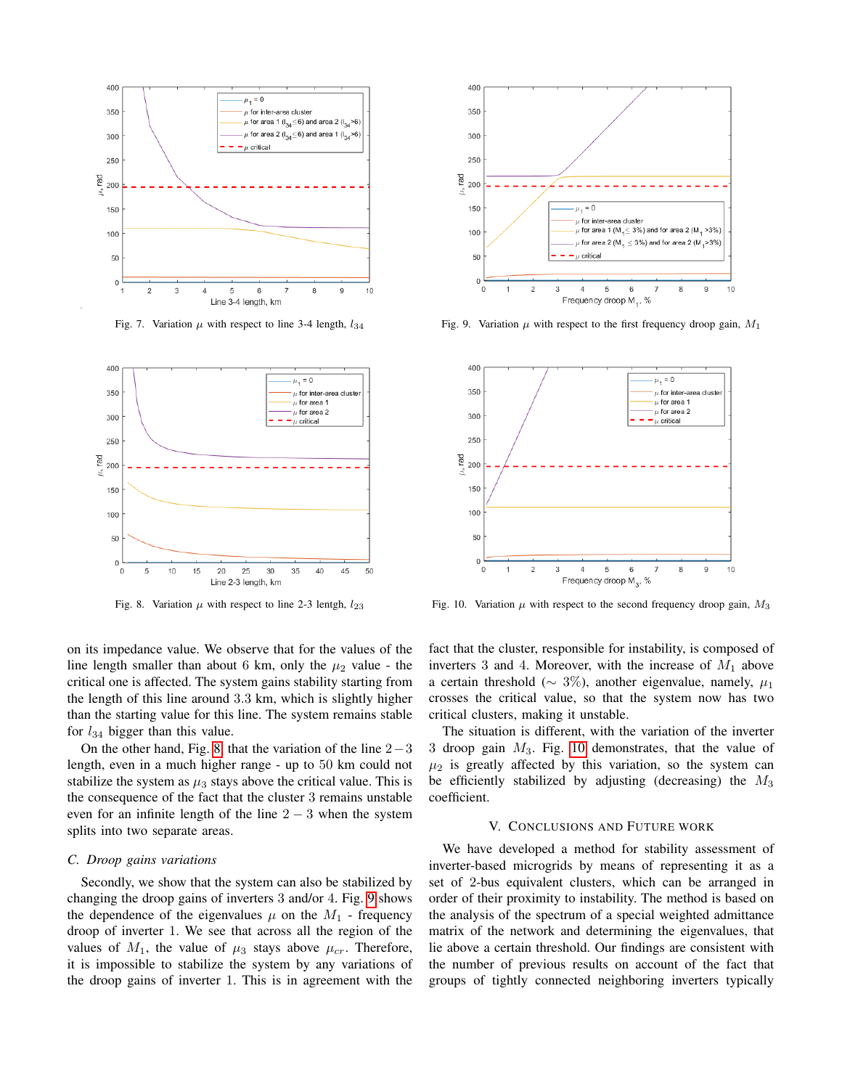

<span id="page-5-1"></span>Fig. 7. Variation  $\mu$  with respect to line 3-4 length,  $l_{34}$ 



<span id="page-5-2"></span>Fig. 8. Variation  $\mu$  with respect to line 2-3 lentgh,  $l_{23}$ 

on its impedance value. We observe that for the values of the line length smaller than about 6 km, only the  $\mu_2$  value - the critical one is affected. The system gains stability starting from the length of this line around 3.3 km, which is slightly higher than the starting value for this line. The system remains stable for  $l_{34}$  bigger than this value.

On the other hand, Fig. [8,](#page-5-2) that the variation of the line 2−3 length, even in a much higher range - up to 50 km could not stabilize the system as  $\mu_3$  stays above the critical value. This is the consequence of the fact that the cluster 3 remains unstable even for an infinite length of the line  $2 - 3$  when the system splits into two separate areas.

# *C. Droop gains variations*

Secondly, we show that the system can also be stabilized by changing the droop gains of inverters 3 and/or 4. Fig. [9](#page-5-3) shows the dependence of the eigenvalues  $\mu$  on the  $M_1$  - frequency droop of inverter 1. We see that across all the region of the values of  $M_1$ , the value of  $\mu_3$  stays above  $\mu_{cr}$ . Therefore, it is impossible to stabilize the system by any variations of the droop gains of inverter 1. This is in agreement with the



<span id="page-5-3"></span>Fig. 9. Variation  $\mu$  with respect to the first frequency droop gain,  $M_1$ 



<span id="page-5-4"></span>Fig. 10. Variation  $\mu$  with respect to the second frequency droop gain,  $M_3$ 

fact that the cluster, responsible for instability, is composed of inverters 3 and 4. Moreover, with the increase of  $M_1$  above a certain threshold ( $\sim 3\%$ ), another eigenvalue, namely,  $\mu_1$ crosses the critical value, so that the system now has two critical clusters, making it unstable.

The situation is different, with the variation of the inverter 3 droop gain  $M_3$ . Fig. [10](#page-5-4) demonstrates, that the value of  $\mu_2$  is greatly affected by this variation, so the system can be efficiently stabilized by adjusting (decreasing) the  $M_3$ coefficient.

# V. CONCLUSIONS AND FUTURE WORK

<span id="page-5-0"></span>We have developed a method for stability assessment of inverter-based microgrids by means of representing it as a set of 2-bus equivalent clusters, which can be arranged in order of their proximity to instability. The method is based on the analysis of the spectrum of a special weighted admittance matrix of the network and determining the eigenvalues, that lie above a certain threshold. Our findings are consistent with the number of previous results on account of the fact that groups of tightly connected neighboring inverters typically